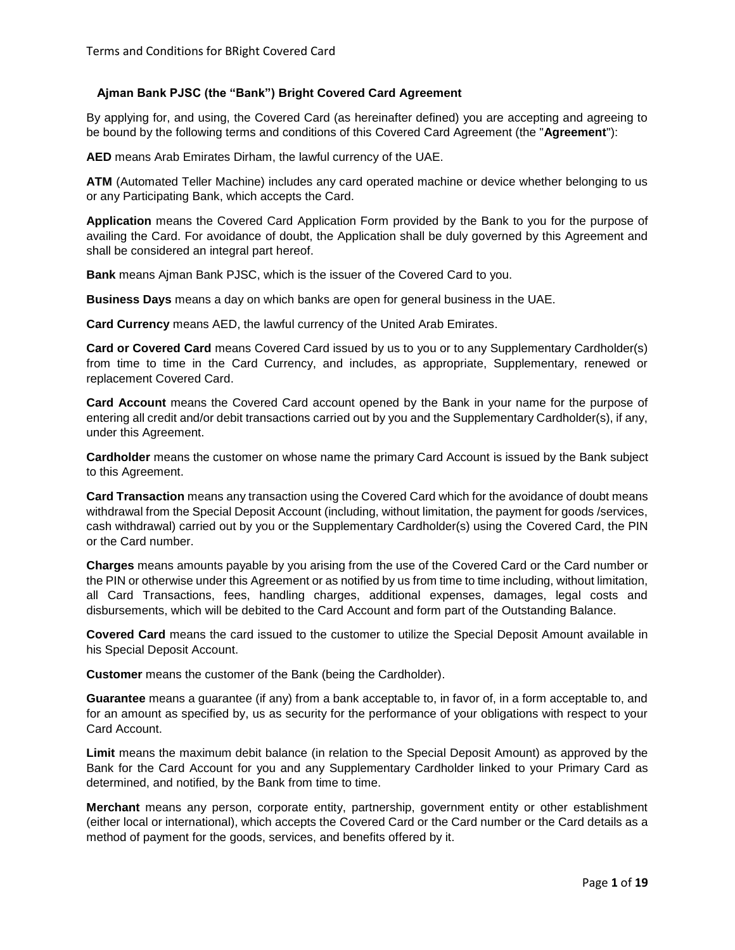# **Ajman Bank PJSC (the "Bank") Bright Covered Card Agreement**

By applying for, and using, the Covered Card (as hereinafter defined) you are accepting and agreeing to be bound by the following terms and conditions of this Covered Card Agreement (the "**Agreement**"):

**AED** means Arab Emirates Dirham, the lawful currency of the UAE.

**ATM** (Automated Teller Machine) includes any card operated machine or device whether belonging to us or any Participating Bank, which accepts the Card.

**Application** means the Covered Card Application Form provided by the Bank to you for the purpose of availing the Card. For avoidance of doubt, the Application shall be duly governed by this Agreement and shall be considered an integral part hereof.

**Bank** means Ajman Bank PJSC, which is the issuer of the Covered Card to you.

**Business Days** means a day on which banks are open for general business in the UAE.

**Card Currency** means AED, the lawful currency of the United Arab Emirates.

**Card or Covered Card** means Covered Card issued by us to you or to any Supplementary Cardholder(s) from time to time in the Card Currency, and includes, as appropriate, Supplementary, renewed or replacement Covered Card.

**Card Account** means the Covered Card account opened by the Bank in your name for the purpose of entering all credit and/or debit transactions carried out by you and the Supplementary Cardholder(s), if any, under this Agreement.

**Cardholder** means the customer on whose name the primary Card Account is issued by the Bank subject to this Agreement.

**Card Transaction** means any transaction using the Covered Card which for the avoidance of doubt means withdrawal from the Special Deposit Account (including, without limitation, the payment for goods /services, cash withdrawal) carried out by you or the Supplementary Cardholder(s) using the Covered Card, the PIN or the Card number.

**Charges** means amounts payable by you arising from the use of the Covered Card or the Card number or the PIN or otherwise under this Agreement or as notified by us from time to time including, without limitation, all Card Transactions, fees, handling charges, additional expenses, damages, legal costs and disbursements, which will be debited to the Card Account and form part of the Outstanding Balance.

**Covered Card** means the card issued to the customer to utilize the Special Deposit Amount available in his Special Deposit Account.

**Customer** means the customer of the Bank (being the Cardholder).

**Guarantee** means a guarantee (if any) from a bank acceptable to, in favor of, in a form acceptable to, and for an amount as specified by, us as security for the performance of your obligations with respect to your Card Account.

**Limit** means the maximum debit balance (in relation to the Special Deposit Amount) as approved by the Bank for the Card Account for you and any Supplementary Cardholder linked to your Primary Card as determined, and notified, by the Bank from time to time.

**Merchant** means any person, corporate entity, partnership, government entity or other establishment (either local or international), which accepts the Covered Card or the Card number or the Card details as a method of payment for the goods, services, and benefits offered by it.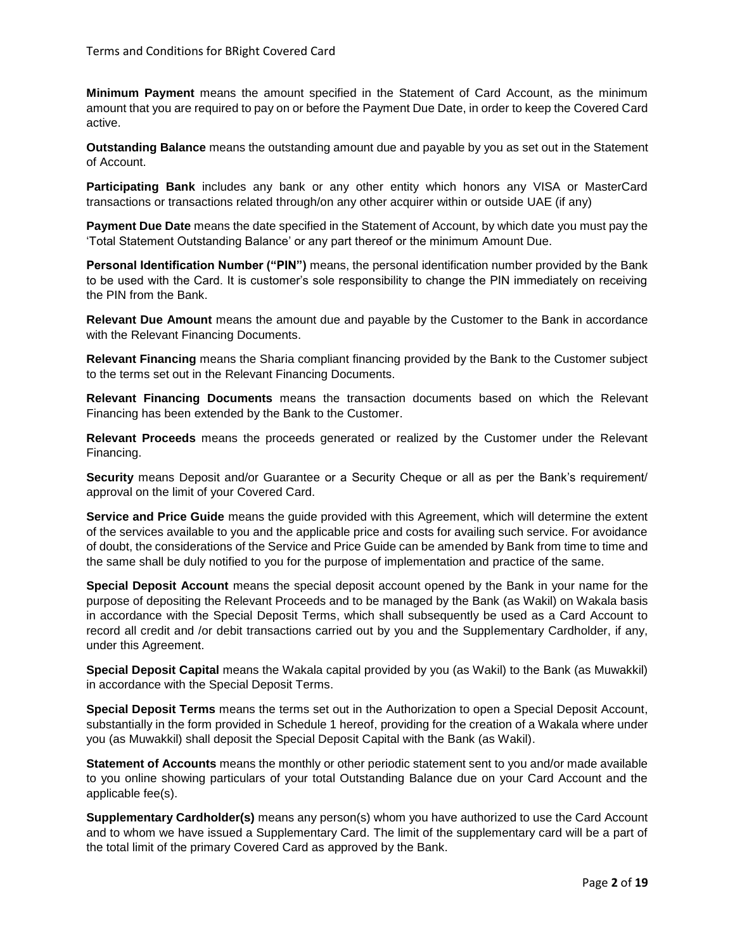**Minimum Payment** means the amount specified in the Statement of Card Account, as the minimum amount that you are required to pay on or before the Payment Due Date, in order to keep the Covered Card active.

**Outstanding Balance** means the outstanding amount due and payable by you as set out in the Statement of Account.

**Participating Bank** includes any bank or any other entity which honors any VISA or MasterCard transactions or transactions related through/on any other acquirer within or outside UAE (if any)

**Payment Due Date** means the date specified in the Statement of Account, by which date you must pay the 'Total Statement Outstanding Balance' or any part thereof or the minimum Amount Due.

**Personal Identification Number ("PIN")** means, the personal identification number provided by the Bank to be used with the Card. It is customer's sole responsibility to change the PIN immediately on receiving the PIN from the Bank.

**Relevant Due Amount** means the amount due and payable by the Customer to the Bank in accordance with the Relevant Financing Documents.

**Relevant Financing** means the Sharia compliant financing provided by the Bank to the Customer subject to the terms set out in the Relevant Financing Documents.

**Relevant Financing Documents** means the transaction documents based on which the Relevant Financing has been extended by the Bank to the Customer.

**Relevant Proceeds** means the proceeds generated or realized by the Customer under the Relevant Financing.

**Security** means Deposit and/or Guarantee or a Security Cheque or all as per the Bank's requirement/ approval on the limit of your Covered Card.

**Service and Price Guide** means the guide provided with this Agreement, which will determine the extent of the services available to you and the applicable price and costs for availing such service. For avoidance of doubt, the considerations of the Service and Price Guide can be amended by Bank from time to time and the same shall be duly notified to you for the purpose of implementation and practice of the same.

**Special Deposit Account** means the special deposit account opened by the Bank in your name for the purpose of depositing the Relevant Proceeds and to be managed by the Bank (as Wakil) on Wakala basis in accordance with the Special Deposit Terms, which shall subsequently be used as a Card Account to record all credit and /or debit transactions carried out by you and the Supplementary Cardholder, if any, under this Agreement.

**Special Deposit Capital** means the Wakala capital provided by you (as Wakil) to the Bank (as Muwakkil) in accordance with the Special Deposit Terms.

**Special Deposit Terms** means the terms set out in the Authorization to open a Special Deposit Account, substantially in the form provided in Schedule 1 hereof, providing for the creation of a Wakala where under you (as Muwakkil) shall deposit the Special Deposit Capital with the Bank (as Wakil).

**Statement of Accounts** means the monthly or other periodic statement sent to you and/or made available to you online showing particulars of your total Outstanding Balance due on your Card Account and the applicable fee(s).

**Supplementary Cardholder(s)** means any person(s) whom you have authorized to use the Card Account and to whom we have issued a Supplementary Card. The limit of the supplementary card will be a part of the total limit of the primary Covered Card as approved by the Bank.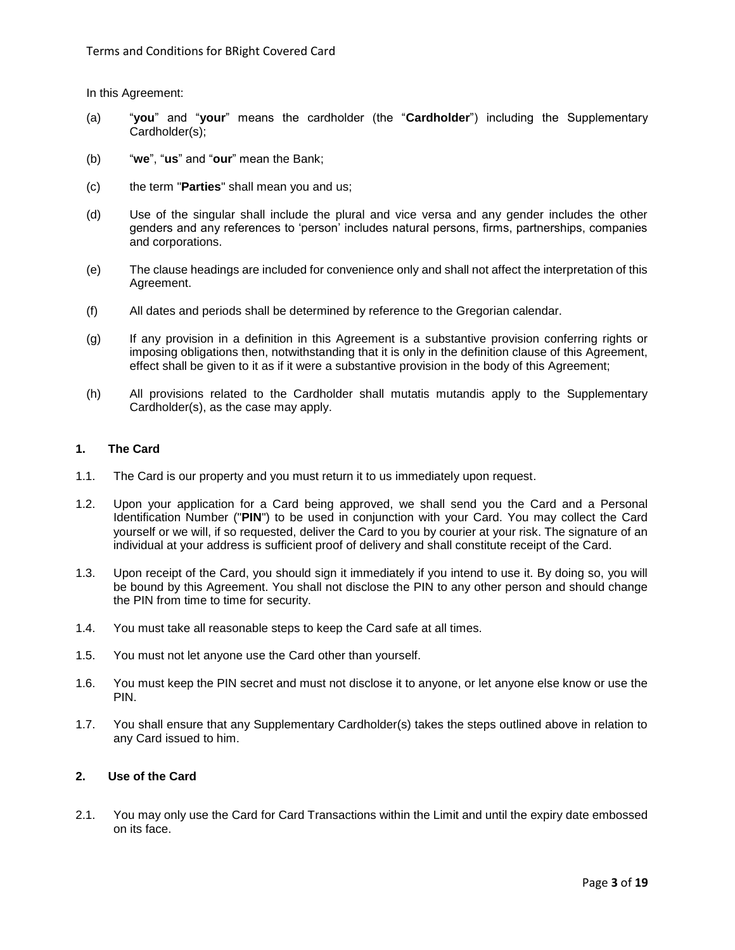In this Agreement:

- (a) "**you**" and "**your**" means the cardholder (the "**Cardholder**") including the Supplementary Cardholder(s);
- (b) "**we**", "**us**" and "**our**" mean the Bank;
- (c) the term "**Parties**" shall mean you and us;
- (d) Use of the singular shall include the plural and vice versa and any gender includes the other genders and any references to 'person' includes natural persons, firms, partnerships, companies and corporations.
- (e) The clause headings are included for convenience only and shall not affect the interpretation of this Agreement.
- (f) All dates and periods shall be determined by reference to the Gregorian calendar.
- (g) If any provision in a definition in this Agreement is a substantive provision conferring rights or imposing obligations then, notwithstanding that it is only in the definition clause of this Agreement, effect shall be given to it as if it were a substantive provision in the body of this Agreement;
- (h) All provisions related to the Cardholder shall mutatis mutandis apply to the Supplementary Cardholder(s), as the case may apply.

# **1. The Card**

- 1.1. The Card is our property and you must return it to us immediately upon request.
- 1.2. Upon your application for a Card being approved, we shall send you the Card and a Personal Identification Number ("**PIN**") to be used in conjunction with your Card. You may collect the Card yourself or we will, if so requested, deliver the Card to you by courier at your risk. The signature of an individual at your address is sufficient proof of delivery and shall constitute receipt of the Card.
- 1.3. Upon receipt of the Card, you should sign it immediately if you intend to use it. By doing so, you will be bound by this Agreement. You shall not disclose the PIN to any other person and should change the PIN from time to time for security.
- 1.4. You must take all reasonable steps to keep the Card safe at all times.
- 1.5. You must not let anyone use the Card other than yourself.
- 1.6. You must keep the PIN secret and must not disclose it to anyone, or let anyone else know or use the PIN.
- 1.7. You shall ensure that any Supplementary Cardholder(s) takes the steps outlined above in relation to any Card issued to him.

## **2. Use of the Card**

2.1. You may only use the Card for Card Transactions within the Limit and until the expiry date embossed on its face.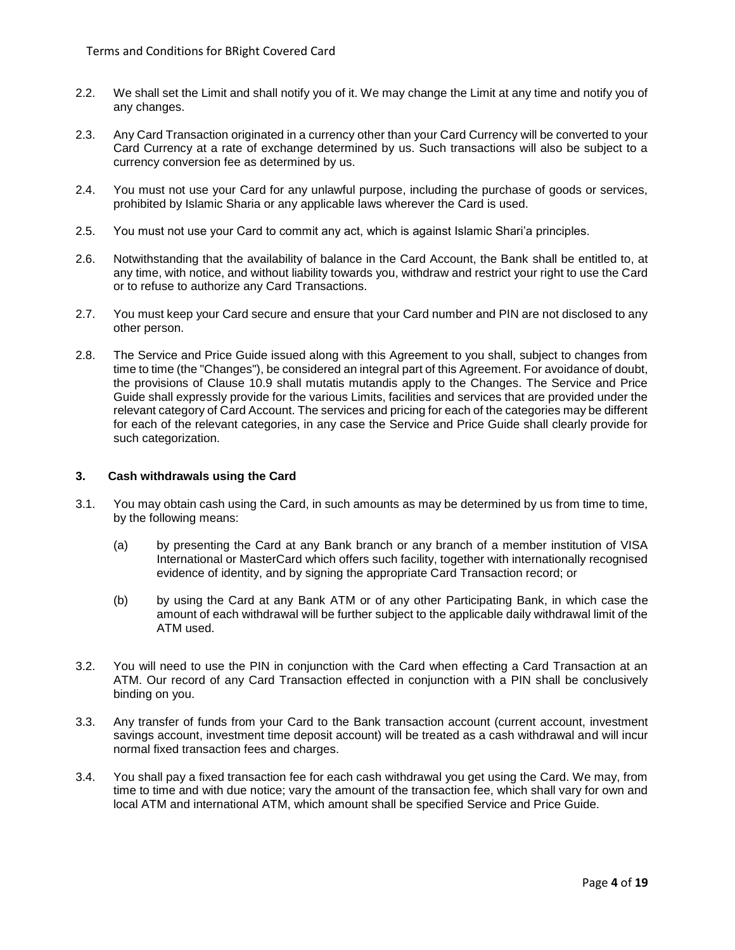- 2.2. We shall set the Limit and shall notify you of it. We may change the Limit at any time and notify you of any changes.
- 2.3. Any Card Transaction originated in a currency other than your Card Currency will be converted to your Card Currency at a rate of exchange determined by us. Such transactions will also be subject to a currency conversion fee as determined by us.
- 2.4. You must not use your Card for any unlawful purpose, including the purchase of goods or services, prohibited by Islamic Sharia or any applicable laws wherever the Card is used.
- 2.5. You must not use your Card to commit any act, which is against Islamic Shari'a principles.
- 2.6. Notwithstanding that the availability of balance in the Card Account, the Bank shall be entitled to, at any time, with notice, and without liability towards you, withdraw and restrict your right to use the Card or to refuse to authorize any Card Transactions.
- 2.7. You must keep your Card secure and ensure that your Card number and PIN are not disclosed to any other person.
- 2.8. The Service and Price Guide issued along with this Agreement to you shall, subject to changes from time to time (the "Changes"), be considered an integral part of this Agreement. For avoidance of doubt, the provisions of Clause 10.9 shall mutatis mutandis apply to the Changes. The Service and Price Guide shall expressly provide for the various Limits, facilities and services that are provided under the relevant category of Card Account. The services and pricing for each of the categories may be different for each of the relevant categories, in any case the Service and Price Guide shall clearly provide for such categorization.

## **3. Cash withdrawals using the Card**

- 3.1. You may obtain cash using the Card, in such amounts as may be determined by us from time to time, by the following means:
	- (a) by presenting the Card at any Bank branch or any branch of a member institution of VISA International or MasterCard which offers such facility, together with internationally recognised evidence of identity, and by signing the appropriate Card Transaction record; or
	- (b) by using the Card at any Bank ATM or of any other Participating Bank, in which case the amount of each withdrawal will be further subject to the applicable daily withdrawal limit of the ATM used.
- 3.2. You will need to use the PIN in conjunction with the Card when effecting a Card Transaction at an ATM. Our record of any Card Transaction effected in conjunction with a PIN shall be conclusively binding on you.
- 3.3. Any transfer of funds from your Card to the Bank transaction account (current account, investment savings account, investment time deposit account) will be treated as a cash withdrawal and will incur normal fixed transaction fees and charges.
- 3.4. You shall pay a fixed transaction fee for each cash withdrawal you get using the Card. We may, from time to time and with due notice; vary the amount of the transaction fee, which shall vary for own and local ATM and international ATM, which amount shall be specified Service and Price Guide.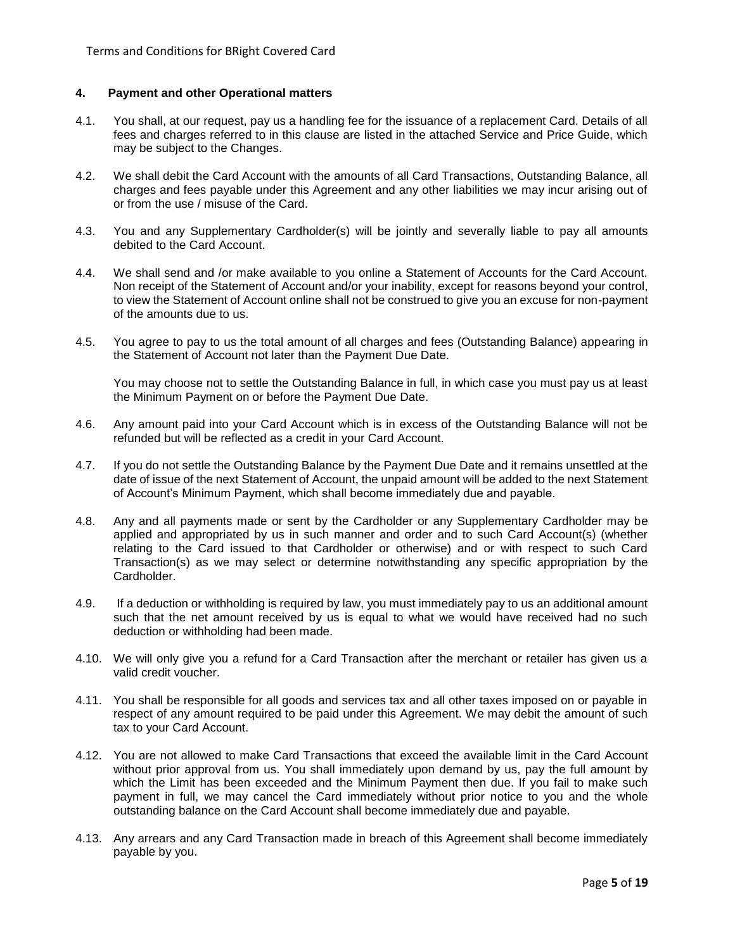# **4. Payment and other Operational matters**

- 4.1. You shall, at our request, pay us a handling fee for the issuance of a replacement Card. Details of all fees and charges referred to in this clause are listed in the attached Service and Price Guide, which may be subject to the Changes.
- 4.2. We shall debit the Card Account with the amounts of all Card Transactions, Outstanding Balance, all charges and fees payable under this Agreement and any other liabilities we may incur arising out of or from the use / misuse of the Card.
- 4.3. You and any Supplementary Cardholder(s) will be jointly and severally liable to pay all amounts debited to the Card Account.
- 4.4. We shall send and /or make available to you online a Statement of Accounts for the Card Account. Non receipt of the Statement of Account and/or your inability, except for reasons beyond your control, to view the Statement of Account online shall not be construed to give you an excuse for non-payment of the amounts due to us.
- 4.5. You agree to pay to us the total amount of all charges and fees (Outstanding Balance) appearing in the Statement of Account not later than the Payment Due Date.

You may choose not to settle the Outstanding Balance in full, in which case you must pay us at least the Minimum Payment on or before the Payment Due Date.

- 4.6. Any amount paid into your Card Account which is in excess of the Outstanding Balance will not be refunded but will be reflected as a credit in your Card Account.
- 4.7. If you do not settle the Outstanding Balance by the Payment Due Date and it remains unsettled at the date of issue of the next Statement of Account, the unpaid amount will be added to the next Statement of Account's Minimum Payment, which shall become immediately due and payable.
- 4.8. Any and all payments made or sent by the Cardholder or any Supplementary Cardholder may be applied and appropriated by us in such manner and order and to such Card Account(s) (whether relating to the Card issued to that Cardholder or otherwise) and or with respect to such Card Transaction(s) as we may select or determine notwithstanding any specific appropriation by the Cardholder.
- 4.9. If a deduction or withholding is required by law, you must immediately pay to us an additional amount such that the net amount received by us is equal to what we would have received had no such deduction or withholding had been made.
- 4.10. We will only give you a refund for a Card Transaction after the merchant or retailer has given us a valid credit voucher.
- 4.11. You shall be responsible for all goods and services tax and all other taxes imposed on or payable in respect of any amount required to be paid under this Agreement. We may debit the amount of such tax to your Card Account.
- 4.12. You are not allowed to make Card Transactions that exceed the available limit in the Card Account without prior approval from us. You shall immediately upon demand by us, pay the full amount by which the Limit has been exceeded and the Minimum Payment then due. If you fail to make such payment in full, we may cancel the Card immediately without prior notice to you and the whole outstanding balance on the Card Account shall become immediately due and payable.
- 4.13. Any arrears and any Card Transaction made in breach of this Agreement shall become immediately payable by you.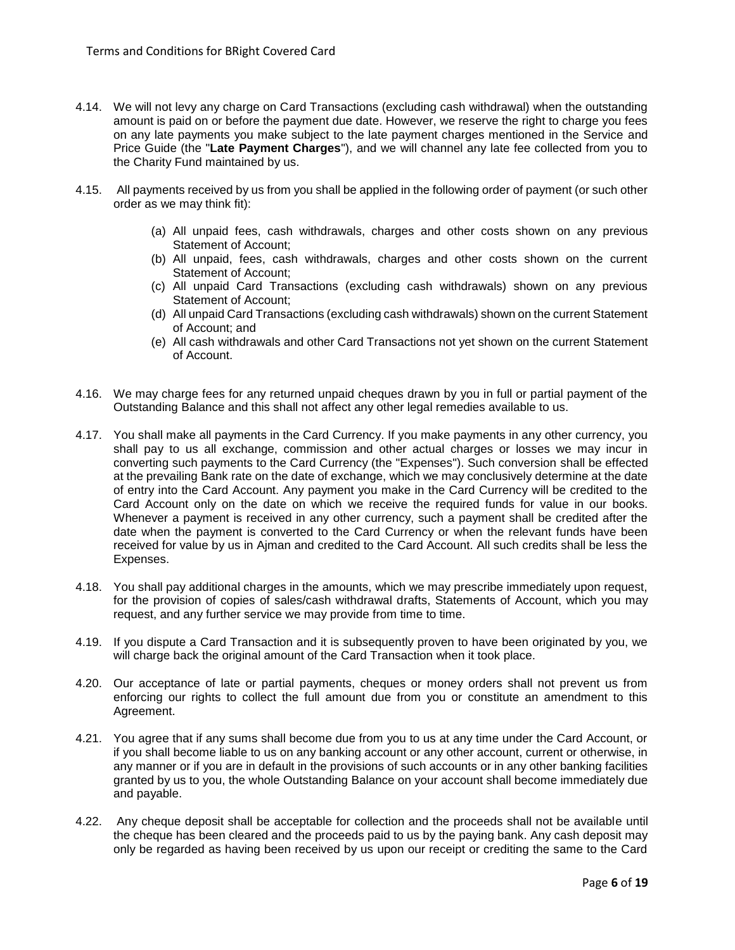- 4.14. We will not levy any charge on Card Transactions (excluding cash withdrawal) when the outstanding amount is paid on or before the payment due date. However, we reserve the right to charge you fees on any late payments you make subject to the late payment charges mentioned in the Service and Price Guide (the "**Late Payment Charges**"), and we will channel any late fee collected from you to the Charity Fund maintained by us.
- 4.15. All payments received by us from you shall be applied in the following order of payment (or such other order as we may think fit):
	- (a) All unpaid fees, cash withdrawals, charges and other costs shown on any previous Statement of Account;
	- (b) All unpaid, fees, cash withdrawals, charges and other costs shown on the current Statement of Account;
	- (c) All unpaid Card Transactions (excluding cash withdrawals) shown on any previous Statement of Account;
	- (d) All unpaid Card Transactions (excluding cash withdrawals) shown on the current Statement of Account; and
	- (e) All cash withdrawals and other Card Transactions not yet shown on the current Statement of Account.
- 4.16. We may charge fees for any returned unpaid cheques drawn by you in full or partial payment of the Outstanding Balance and this shall not affect any other legal remedies available to us.
- 4.17. You shall make all payments in the Card Currency. If you make payments in any other currency, you shall pay to us all exchange, commission and other actual charges or losses we may incur in converting such payments to the Card Currency (the "Expenses"). Such conversion shall be effected at the prevailing Bank rate on the date of exchange, which we may conclusively determine at the date of entry into the Card Account. Any payment you make in the Card Currency will be credited to the Card Account only on the date on which we receive the required funds for value in our books. Whenever a payment is received in any other currency, such a payment shall be credited after the date when the payment is converted to the Card Currency or when the relevant funds have been received for value by us in Ajman and credited to the Card Account. All such credits shall be less the Expenses.
- 4.18. You shall pay additional charges in the amounts, which we may prescribe immediately upon request, for the provision of copies of sales/cash withdrawal drafts, Statements of Account, which you may request, and any further service we may provide from time to time.
- 4.19. If you dispute a Card Transaction and it is subsequently proven to have been originated by you, we will charge back the original amount of the Card Transaction when it took place.
- 4.20. Our acceptance of late or partial payments, cheques or money orders shall not prevent us from enforcing our rights to collect the full amount due from you or constitute an amendment to this Agreement.
- 4.21. You agree that if any sums shall become due from you to us at any time under the Card Account, or if you shall become liable to us on any banking account or any other account, current or otherwise, in any manner or if you are in default in the provisions of such accounts or in any other banking facilities granted by us to you, the whole Outstanding Balance on your account shall become immediately due and payable.
- 4.22. Any cheque deposit shall be acceptable for collection and the proceeds shall not be available until the cheque has been cleared and the proceeds paid to us by the paying bank. Any cash deposit may only be regarded as having been received by us upon our receipt or crediting the same to the Card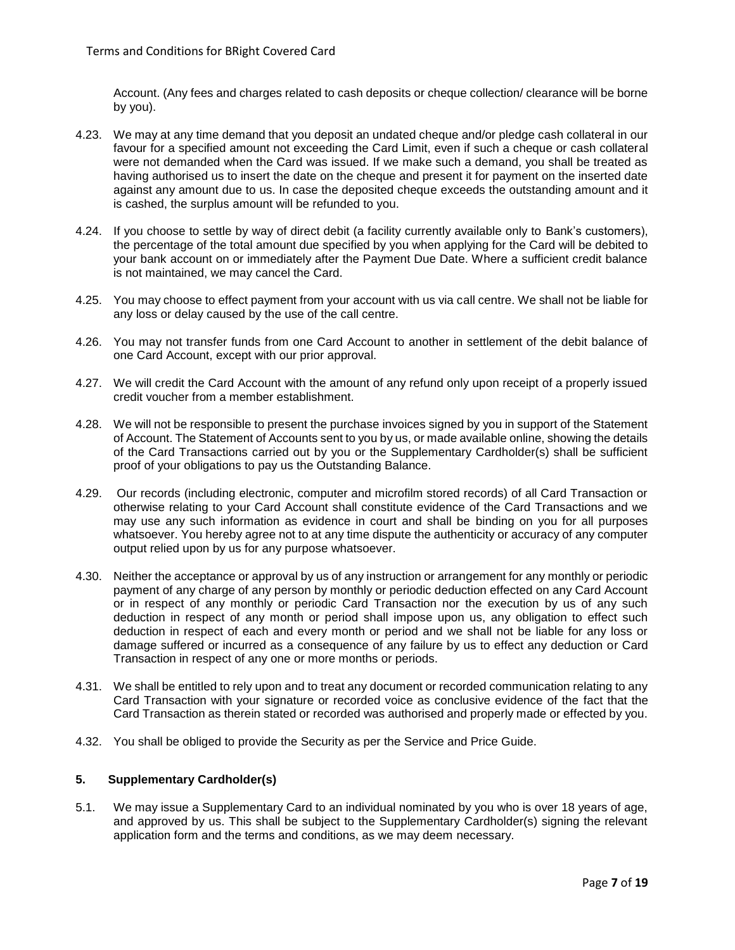Account. (Any fees and charges related to cash deposits or cheque collection/ clearance will be borne by you).

- 4.23. We may at any time demand that you deposit an undated cheque and/or pledge cash collateral in our favour for a specified amount not exceeding the Card Limit, even if such a cheque or cash collateral were not demanded when the Card was issued. If we make such a demand, you shall be treated as having authorised us to insert the date on the cheque and present it for payment on the inserted date against any amount due to us. In case the deposited cheque exceeds the outstanding amount and it is cashed, the surplus amount will be refunded to you.
- 4.24. If you choose to settle by way of direct debit (a facility currently available only to Bank's customers), the percentage of the total amount due specified by you when applying for the Card will be debited to your bank account on or immediately after the Payment Due Date. Where a sufficient credit balance is not maintained, we may cancel the Card.
- 4.25. You may choose to effect payment from your account with us via call centre. We shall not be liable for any loss or delay caused by the use of the call centre.
- 4.26. You may not transfer funds from one Card Account to another in settlement of the debit balance of one Card Account, except with our prior approval.
- 4.27. We will credit the Card Account with the amount of any refund only upon receipt of a properly issued credit voucher from a member establishment.
- 4.28. We will not be responsible to present the purchase invoices signed by you in support of the Statement of Account. The Statement of Accounts sent to you by us, or made available online, showing the details of the Card Transactions carried out by you or the Supplementary Cardholder(s) shall be sufficient proof of your obligations to pay us the Outstanding Balance.
- 4.29. Our records (including electronic, computer and microfilm stored records) of all Card Transaction or otherwise relating to your Card Account shall constitute evidence of the Card Transactions and we may use any such information as evidence in court and shall be binding on you for all purposes whatsoever. You hereby agree not to at any time dispute the authenticity or accuracy of any computer output relied upon by us for any purpose whatsoever.
- 4.30. Neither the acceptance or approval by us of any instruction or arrangement for any monthly or periodic payment of any charge of any person by monthly or periodic deduction effected on any Card Account or in respect of any monthly or periodic Card Transaction nor the execution by us of any such deduction in respect of any month or period shall impose upon us, any obligation to effect such deduction in respect of each and every month or period and we shall not be liable for any loss or damage suffered or incurred as a consequence of any failure by us to effect any deduction or Card Transaction in respect of any one or more months or periods.
- 4.31. We shall be entitled to rely upon and to treat any document or recorded communication relating to any Card Transaction with your signature or recorded voice as conclusive evidence of the fact that the Card Transaction as therein stated or recorded was authorised and properly made or effected by you.
- 4.32. You shall be obliged to provide the Security as per the Service and Price Guide.

# **5. Supplementary Cardholder(s)**

5.1. We may issue a Supplementary Card to an individual nominated by you who is over 18 years of age, and approved by us. This shall be subject to the Supplementary Cardholder(s) signing the relevant application form and the terms and conditions, as we may deem necessary.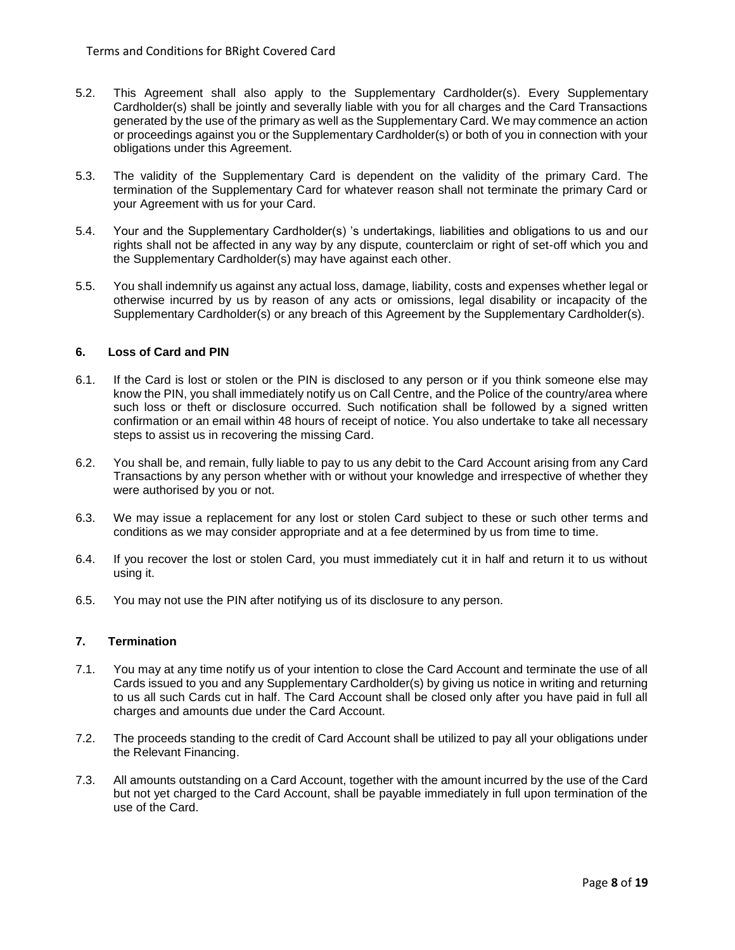- 5.2. This Agreement shall also apply to the Supplementary Cardholder(s). Every Supplementary Cardholder(s) shall be jointly and severally liable with you for all charges and the Card Transactions generated by the use of the primary as well as the Supplementary Card. We may commence an action or proceedings against you or the Supplementary Cardholder(s) or both of you in connection with your obligations under this Agreement.
- 5.3. The validity of the Supplementary Card is dependent on the validity of the primary Card. The termination of the Supplementary Card for whatever reason shall not terminate the primary Card or your Agreement with us for your Card.
- 5.4. Your and the Supplementary Cardholder(s) 's undertakings, liabilities and obligations to us and our rights shall not be affected in any way by any dispute, counterclaim or right of set-off which you and the Supplementary Cardholder(s) may have against each other.
- 5.5. You shall indemnify us against any actual loss, damage, liability, costs and expenses whether legal or otherwise incurred by us by reason of any acts or omissions, legal disability or incapacity of the Supplementary Cardholder(s) or any breach of this Agreement by the Supplementary Cardholder(s).

## **6. Loss of Card and PIN**

- 6.1. If the Card is lost or stolen or the PIN is disclosed to any person or if you think someone else may know the PIN, you shall immediately notify us on Call Centre, and the Police of the country/area where such loss or theft or disclosure occurred. Such notification shall be followed by a signed written confirmation or an email within 48 hours of receipt of notice. You also undertake to take all necessary steps to assist us in recovering the missing Card.
- 6.2. You shall be, and remain, fully liable to pay to us any debit to the Card Account arising from any Card Transactions by any person whether with or without your knowledge and irrespective of whether they were authorised by you or not.
- 6.3. We may issue a replacement for any lost or stolen Card subject to these or such other terms and conditions as we may consider appropriate and at a fee determined by us from time to time.
- 6.4. If you recover the lost or stolen Card, you must immediately cut it in half and return it to us without using it.
- 6.5. You may not use the PIN after notifying us of its disclosure to any person.

#### **7. Termination**

- 7.1. You may at any time notify us of your intention to close the Card Account and terminate the use of all Cards issued to you and any Supplementary Cardholder(s) by giving us notice in writing and returning to us all such Cards cut in half. The Card Account shall be closed only after you have paid in full all charges and amounts due under the Card Account.
- 7.2. The proceeds standing to the credit of Card Account shall be utilized to pay all your obligations under the Relevant Financing.
- 7.3. All amounts outstanding on a Card Account, together with the amount incurred by the use of the Card but not yet charged to the Card Account, shall be payable immediately in full upon termination of the use of the Card.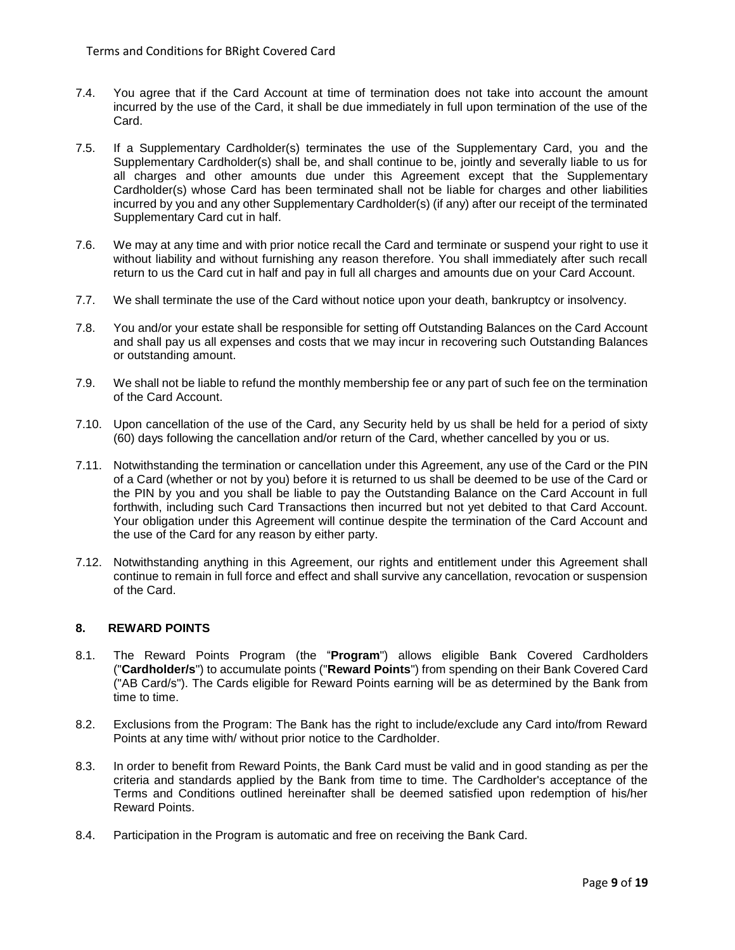- 7.4. You agree that if the Card Account at time of termination does not take into account the amount incurred by the use of the Card, it shall be due immediately in full upon termination of the use of the Card.
- 7.5. If a Supplementary Cardholder(s) terminates the use of the Supplementary Card, you and the Supplementary Cardholder(s) shall be, and shall continue to be, jointly and severally liable to us for all charges and other amounts due under this Agreement except that the Supplementary Cardholder(s) whose Card has been terminated shall not be liable for charges and other liabilities incurred by you and any other Supplementary Cardholder(s) (if any) after our receipt of the terminated Supplementary Card cut in half.
- 7.6. We may at any time and with prior notice recall the Card and terminate or suspend your right to use it without liability and without furnishing any reason therefore. You shall immediately after such recall return to us the Card cut in half and pay in full all charges and amounts due on your Card Account.
- 7.7. We shall terminate the use of the Card without notice upon your death, bankruptcy or insolvency.
- 7.8. You and/or your estate shall be responsible for setting off Outstanding Balances on the Card Account and shall pay us all expenses and costs that we may incur in recovering such Outstanding Balances or outstanding amount.
- 7.9. We shall not be liable to refund the monthly membership fee or any part of such fee on the termination of the Card Account.
- 7.10. Upon cancellation of the use of the Card, any Security held by us shall be held for a period of sixty (60) days following the cancellation and/or return of the Card, whether cancelled by you or us.
- 7.11. Notwithstanding the termination or cancellation under this Agreement, any use of the Card or the PIN of a Card (whether or not by you) before it is returned to us shall be deemed to be use of the Card or the PIN by you and you shall be liable to pay the Outstanding Balance on the Card Account in full forthwith, including such Card Transactions then incurred but not yet debited to that Card Account. Your obligation under this Agreement will continue despite the termination of the Card Account and the use of the Card for any reason by either party.
- 7.12. Notwithstanding anything in this Agreement, our rights and entitlement under this Agreement shall continue to remain in full force and effect and shall survive any cancellation, revocation or suspension of the Card.

## **8. REWARD POINTS**

- 8.1. The Reward Points Program (the "**Program**") allows eligible Bank Covered Cardholders ("**Cardholder/s**") to accumulate points ("**Reward Points**") from spending on their Bank Covered Card ("AB Card/s"). The Cards eligible for Reward Points earning will be as determined by the Bank from time to time.
- 8.2. Exclusions from the Program: The Bank has the right to include/exclude any Card into/from Reward Points at any time with/ without prior notice to the Cardholder.
- 8.3. In order to benefit from Reward Points, the Bank Card must be valid and in good standing as per the criteria and standards applied by the Bank from time to time. The Cardholder's acceptance of the Terms and Conditions outlined hereinafter shall be deemed satisfied upon redemption of his/her Reward Points.
- 8.4. Participation in the Program is automatic and free on receiving the Bank Card.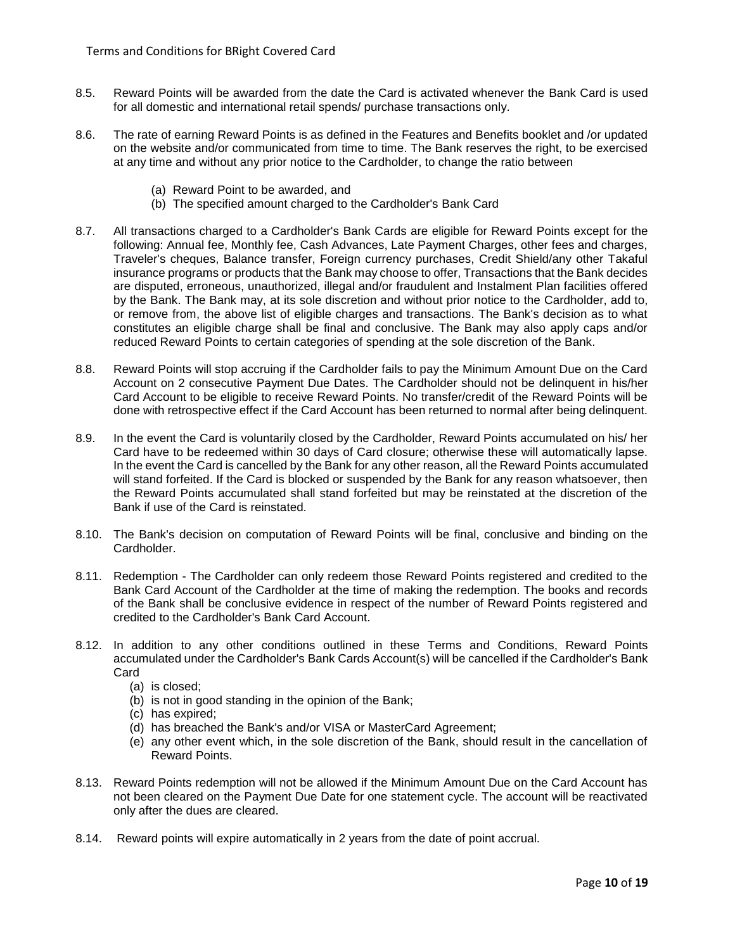- 8.5. Reward Points will be awarded from the date the Card is activated whenever the Bank Card is used for all domestic and international retail spends/ purchase transactions only.
- 8.6. The rate of earning Reward Points is as defined in the Features and Benefits booklet and /or updated on the website and/or communicated from time to time. The Bank reserves the right, to be exercised at any time and without any prior notice to the Cardholder, to change the ratio between
	- (a) Reward Point to be awarded, and
	- (b) The specified amount charged to the Cardholder's Bank Card
- 8.7. All transactions charged to a Cardholder's Bank Cards are eligible for Reward Points except for the following: Annual fee, Monthly fee, Cash Advances, Late Payment Charges, other fees and charges, Traveler's cheques, Balance transfer, Foreign currency purchases, Credit Shield/any other Takaful insurance programs or products that the Bank may choose to offer, Transactions that the Bank decides are disputed, erroneous, unauthorized, illegal and/or fraudulent and Instalment Plan facilities offered by the Bank. The Bank may, at its sole discretion and without prior notice to the Cardholder, add to, or remove from, the above list of eligible charges and transactions. The Bank's decision as to what constitutes an eligible charge shall be final and conclusive. The Bank may also apply caps and/or reduced Reward Points to certain categories of spending at the sole discretion of the Bank.
- 8.8. Reward Points will stop accruing if the Cardholder fails to pay the Minimum Amount Due on the Card Account on 2 consecutive Payment Due Dates. The Cardholder should not be delinquent in his/her Card Account to be eligible to receive Reward Points. No transfer/credit of the Reward Points will be done with retrospective effect if the Card Account has been returned to normal after being delinquent.
- 8.9. In the event the Card is voluntarily closed by the Cardholder, Reward Points accumulated on his/ her Card have to be redeemed within 30 days of Card closure; otherwise these will automatically lapse. In the event the Card is cancelled by the Bank for any other reason, all the Reward Points accumulated will stand forfeited. If the Card is blocked or suspended by the Bank for any reason whatsoever, then the Reward Points accumulated shall stand forfeited but may be reinstated at the discretion of the Bank if use of the Card is reinstated.
- 8.10. The Bank's decision on computation of Reward Points will be final, conclusive and binding on the Cardholder.
- 8.11. Redemption The Cardholder can only redeem those Reward Points registered and credited to the Bank Card Account of the Cardholder at the time of making the redemption. The books and records of the Bank shall be conclusive evidence in respect of the number of Reward Points registered and credited to the Cardholder's Bank Card Account.
- 8.12. In addition to any other conditions outlined in these Terms and Conditions, Reward Points accumulated under the Cardholder's Bank Cards Account(s) will be cancelled if the Cardholder's Bank Card
	- (a) is closed;
	- (b) is not in good standing in the opinion of the Bank;
	- (c) has expired;
	- (d) has breached the Bank's and/or VISA or MasterCard Agreement;
	- (e) any other event which, in the sole discretion of the Bank, should result in the cancellation of Reward Points.
- 8.13. Reward Points redemption will not be allowed if the Minimum Amount Due on the Card Account has not been cleared on the Payment Due Date for one statement cycle. The account will be reactivated only after the dues are cleared.
- 8.14. Reward points will expire automatically in 2 years from the date of point accrual.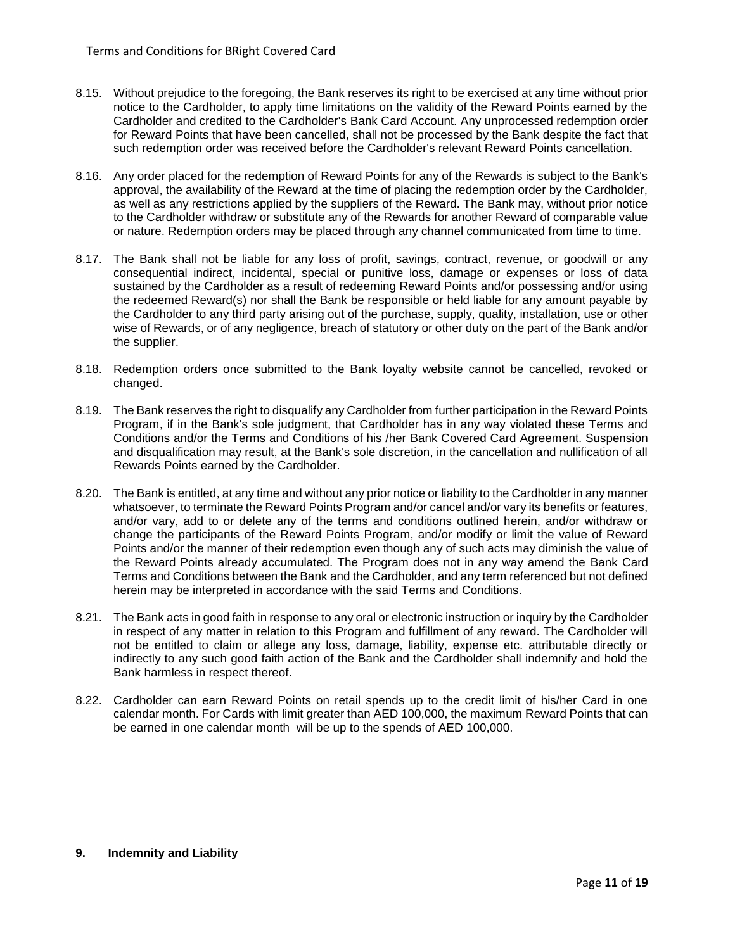- 8.15. Without prejudice to the foregoing, the Bank reserves its right to be exercised at any time without prior notice to the Cardholder, to apply time limitations on the validity of the Reward Points earned by the Cardholder and credited to the Cardholder's Bank Card Account. Any unprocessed redemption order for Reward Points that have been cancelled, shall not be processed by the Bank despite the fact that such redemption order was received before the Cardholder's relevant Reward Points cancellation.
- 8.16. Any order placed for the redemption of Reward Points for any of the Rewards is subject to the Bank's approval, the availability of the Reward at the time of placing the redemption order by the Cardholder, as well as any restrictions applied by the suppliers of the Reward. The Bank may, without prior notice to the Cardholder withdraw or substitute any of the Rewards for another Reward of comparable value or nature. Redemption orders may be placed through any channel communicated from time to time.
- 8.17. The Bank shall not be liable for any loss of profit, savings, contract, revenue, or goodwill or any consequential indirect, incidental, special or punitive loss, damage or expenses or loss of data sustained by the Cardholder as a result of redeeming Reward Points and/or possessing and/or using the redeemed Reward(s) nor shall the Bank be responsible or held liable for any amount payable by the Cardholder to any third party arising out of the purchase, supply, quality, installation, use or other wise of Rewards, or of any negligence, breach of statutory or other duty on the part of the Bank and/or the supplier.
- 8.18. Redemption orders once submitted to the Bank loyalty website cannot be cancelled, revoked or changed.
- 8.19. The Bank reserves the right to disqualify any Cardholder from further participation in the Reward Points Program, if in the Bank's sole judgment, that Cardholder has in any way violated these Terms and Conditions and/or the Terms and Conditions of his /her Bank Covered Card Agreement. Suspension and disqualification may result, at the Bank's sole discretion, in the cancellation and nullification of all Rewards Points earned by the Cardholder.
- 8.20. The Bank is entitled, at any time and without any prior notice or liability to the Cardholder in any manner whatsoever, to terminate the Reward Points Program and/or cancel and/or vary its benefits or features, and/or vary, add to or delete any of the terms and conditions outlined herein, and/or withdraw or change the participants of the Reward Points Program, and/or modify or limit the value of Reward Points and/or the manner of their redemption even though any of such acts may diminish the value of the Reward Points already accumulated. The Program does not in any way amend the Bank Card Terms and Conditions between the Bank and the Cardholder, and any term referenced but not defined herein may be interpreted in accordance with the said Terms and Conditions.
- 8.21. The Bank acts in good faith in response to any oral or electronic instruction or inquiry by the Cardholder in respect of any matter in relation to this Program and fulfillment of any reward. The Cardholder will not be entitled to claim or allege any loss, damage, liability, expense etc. attributable directly or indirectly to any such good faith action of the Bank and the Cardholder shall indemnify and hold the Bank harmless in respect thereof.
- 8.22. Cardholder can earn Reward Points on retail spends up to the credit limit of his/her Card in one calendar month. For Cards with limit greater than AED 100,000, the maximum Reward Points that can be earned in one calendar month will be up to the spends of AED 100,000.

## **9. Indemnity and Liability**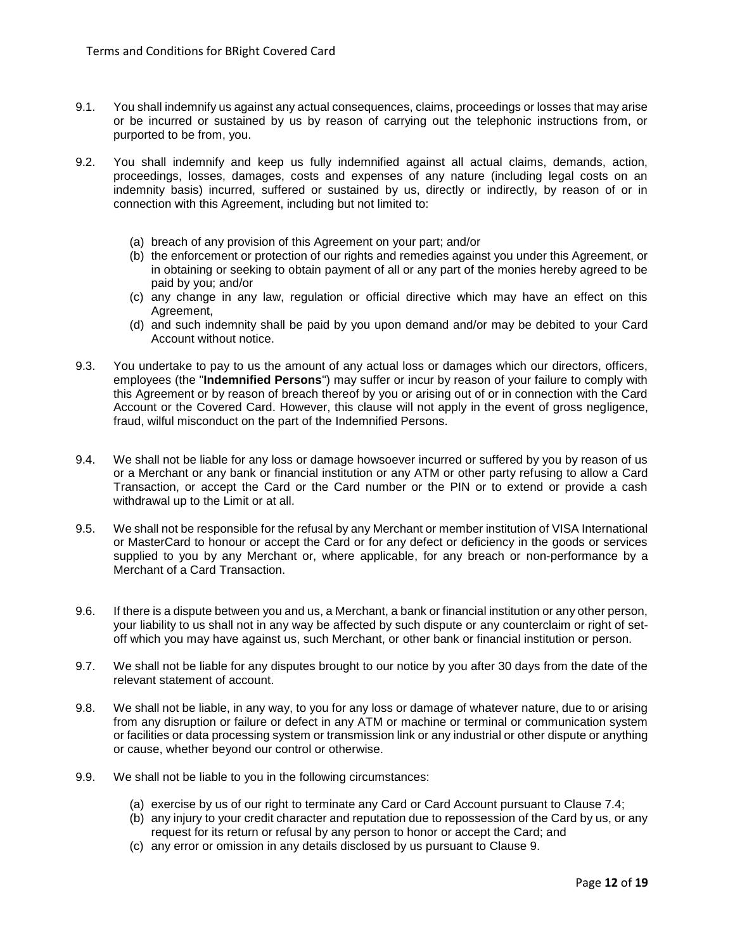- 9.1. You shall indemnify us against any actual consequences, claims, proceedings or losses that may arise or be incurred or sustained by us by reason of carrying out the telephonic instructions from, or purported to be from, you.
- 9.2. You shall indemnify and keep us fully indemnified against all actual claims, demands, action, proceedings, losses, damages, costs and expenses of any nature (including legal costs on an indemnity basis) incurred, suffered or sustained by us, directly or indirectly, by reason of or in connection with this Agreement, including but not limited to:
	- (a) breach of any provision of this Agreement on your part; and/or
	- (b) the enforcement or protection of our rights and remedies against you under this Agreement, or in obtaining or seeking to obtain payment of all or any part of the monies hereby agreed to be paid by you; and/or
	- (c) any change in any law, regulation or official directive which may have an effect on this Agreement,
	- (d) and such indemnity shall be paid by you upon demand and/or may be debited to your Card Account without notice.
- 9.3. You undertake to pay to us the amount of any actual loss or damages which our directors, officers, employees (the "**Indemnified Persons**") may suffer or incur by reason of your failure to comply with this Agreement or by reason of breach thereof by you or arising out of or in connection with the Card Account or the Covered Card. However, this clause will not apply in the event of gross negligence, fraud, wilful misconduct on the part of the Indemnified Persons.
- 9.4. We shall not be liable for any loss or damage howsoever incurred or suffered by you by reason of us or a Merchant or any bank or financial institution or any ATM or other party refusing to allow a Card Transaction, or accept the Card or the Card number or the PIN or to extend or provide a cash withdrawal up to the Limit or at all.
- 9.5. We shall not be responsible for the refusal by any Merchant or member institution of VISA International or MasterCard to honour or accept the Card or for any defect or deficiency in the goods or services supplied to you by any Merchant or, where applicable, for any breach or non-performance by a Merchant of a Card Transaction.
- 9.6. If there is a dispute between you and us, a Merchant, a bank or financial institution or any other person, your liability to us shall not in any way be affected by such dispute or any counterclaim or right of setoff which you may have against us, such Merchant, or other bank or financial institution or person.
- 9.7. We shall not be liable for any disputes brought to our notice by you after 30 days from the date of the relevant statement of account.
- 9.8. We shall not be liable, in any way, to you for any loss or damage of whatever nature, due to or arising from any disruption or failure or defect in any ATM or machine or terminal or communication system or facilities or data processing system or transmission link or any industrial or other dispute or anything or cause, whether beyond our control or otherwise.
- 9.9. We shall not be liable to you in the following circumstances:
	- (a) exercise by us of our right to terminate any Card or Card Account pursuant to Clause 7.4;
	- (b) any injury to your credit character and reputation due to repossession of the Card by us, or any request for its return or refusal by any person to honor or accept the Card; and
	- (c) any error or omission in any details disclosed by us pursuant to Clause 9.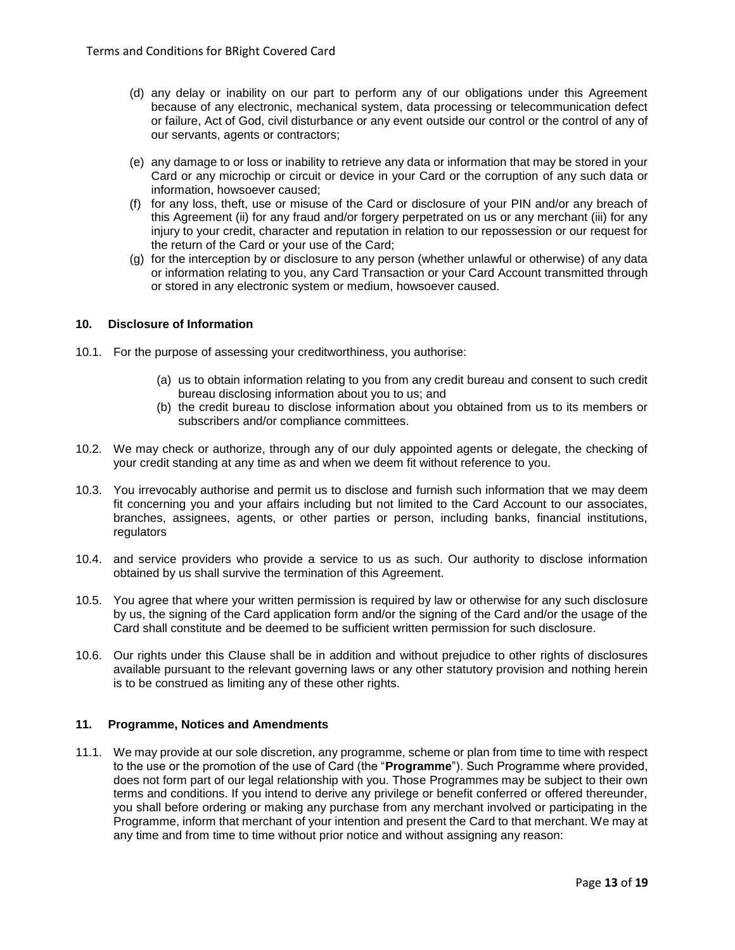- (d) any delay or inability on our part to perform any of our obligations under this Agreement because of any electronic, mechanical system, data processing or telecommunication defect or failure, Act of God, civil disturbance or any event outside our control or the control of any of our servants, agents or contractors;
- (e) any damage to or loss or inability to retrieve any data or information that may be stored in your Card or any microchip or circuit or device in your Card or the corruption of any such data or information, howsoever caused;
- (f) for any loss, theft, use or misuse of the Card or disclosure of your PIN and/or any breach of this Agreement (ii) for any fraud and/or forgery perpetrated on us or any merchant (iii) for any injury to your credit, character and reputation in relation to our repossession or our request for the return of the Card or your use of the Card;
- (g) for the interception by or disclosure to any person (whether unlawful or otherwise) of any data or information relating to you, any Card Transaction or your Card Account transmitted through or stored in any electronic system or medium, howsoever caused.

## **10. Disclosure of Information**

- 10.1. For the purpose of assessing your creditworthiness, you authorise:
	- (a) us to obtain information relating to you from any credit bureau and consent to such credit bureau disclosing information about you to us; and
	- (b) the credit bureau to disclose information about you obtained from us to its members or subscribers and/or compliance committees.
- 10.2. We may check or authorize, through any of our duly appointed agents or delegate, the checking of your credit standing at any time as and when we deem fit without reference to you.
- 10.3. You irrevocably authorise and permit us to disclose and furnish such information that we may deem fit concerning you and your affairs including but not limited to the Card Account to our associates, branches, assignees, agents, or other parties or person, including banks, financial institutions, regulators
- 10.4. and service providers who provide a service to us as such. Our authority to disclose information obtained by us shall survive the termination of this Agreement.
- 10.5. You agree that where your written permission is required by law or otherwise for any such disclosure by us, the signing of the Card application form and/or the signing of the Card and/or the usage of the Card shall constitute and be deemed to be sufficient written permission for such disclosure.
- 10.6. Our rights under this Clause shall be in addition and without prejudice to other rights of disclosures available pursuant to the relevant governing laws or any other statutory provision and nothing herein is to be construed as limiting any of these other rights.

## **11. Programme, Notices and Amendments**

11.1. We may provide at our sole discretion, any programme, scheme or plan from time to time with respect to the use or the promotion of the use of Card (the "**Programme**"). Such Programme where provided, does not form part of our legal relationship with you. Those Programmes may be subject to their own terms and conditions. If you intend to derive any privilege or benefit conferred or offered thereunder, you shall before ordering or making any purchase from any merchant involved or participating in the Programme, inform that merchant of your intention and present the Card to that merchant. We may at any time and from time to time without prior notice and without assigning any reason: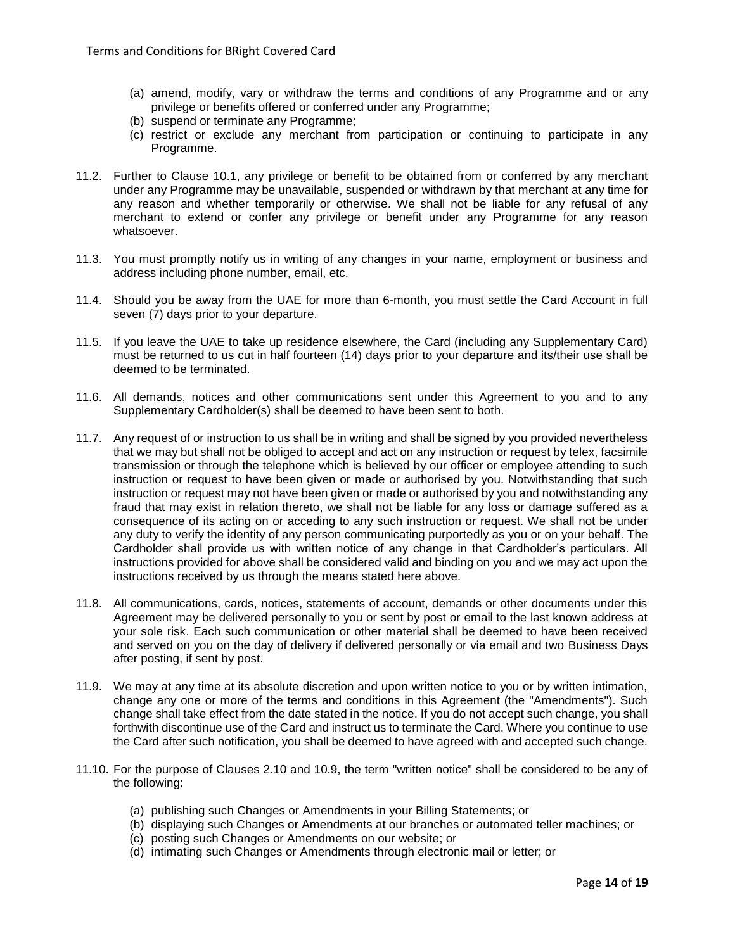- (a) amend, modify, vary or withdraw the terms and conditions of any Programme and or any privilege or benefits offered or conferred under any Programme;
- (b) suspend or terminate any Programme;
- (c) restrict or exclude any merchant from participation or continuing to participate in any Programme.
- 11.2. Further to Clause 10.1, any privilege or benefit to be obtained from or conferred by any merchant under any Programme may be unavailable, suspended or withdrawn by that merchant at any time for any reason and whether temporarily or otherwise. We shall not be liable for any refusal of any merchant to extend or confer any privilege or benefit under any Programme for any reason whatsoever.
- 11.3. You must promptly notify us in writing of any changes in your name, employment or business and address including phone number, email, etc.
- 11.4. Should you be away from the UAE for more than 6-month, you must settle the Card Account in full seven (7) days prior to your departure.
- 11.5. If you leave the UAE to take up residence elsewhere, the Card (including any Supplementary Card) must be returned to us cut in half fourteen (14) days prior to your departure and its/their use shall be deemed to be terminated.
- 11.6. All demands, notices and other communications sent under this Agreement to you and to any Supplementary Cardholder(s) shall be deemed to have been sent to both.
- 11.7. Any request of or instruction to us shall be in writing and shall be signed by you provided nevertheless that we may but shall not be obliged to accept and act on any instruction or request by telex, facsimile transmission or through the telephone which is believed by our officer or employee attending to such instruction or request to have been given or made or authorised by you. Notwithstanding that such instruction or request may not have been given or made or authorised by you and notwithstanding any fraud that may exist in relation thereto, we shall not be liable for any loss or damage suffered as a consequence of its acting on or acceding to any such instruction or request. We shall not be under any duty to verify the identity of any person communicating purportedly as you or on your behalf. The Cardholder shall provide us with written notice of any change in that Cardholder's particulars. All instructions provided for above shall be considered valid and binding on you and we may act upon the instructions received by us through the means stated here above.
- 11.8. All communications, cards, notices, statements of account, demands or other documents under this Agreement may be delivered personally to you or sent by post or email to the last known address at your sole risk. Each such communication or other material shall be deemed to have been received and served on you on the day of delivery if delivered personally or via email and two Business Days after posting, if sent by post.
- 11.9. We may at any time at its absolute discretion and upon written notice to you or by written intimation, change any one or more of the terms and conditions in this Agreement (the "Amendments"). Such change shall take effect from the date stated in the notice. If you do not accept such change, you shall forthwith discontinue use of the Card and instruct us to terminate the Card. Where you continue to use the Card after such notification, you shall be deemed to have agreed with and accepted such change.
- 11.10. For the purpose of Clauses 2.10 and 10.9, the term "written notice" shall be considered to be any of the following:
	- (a) publishing such Changes or Amendments in your Billing Statements; or
	- (b) displaying such Changes or Amendments at our branches or automated teller machines; or
	- (c) posting such Changes or Amendments on our website; or
	- (d) intimating such Changes or Amendments through electronic mail or letter; or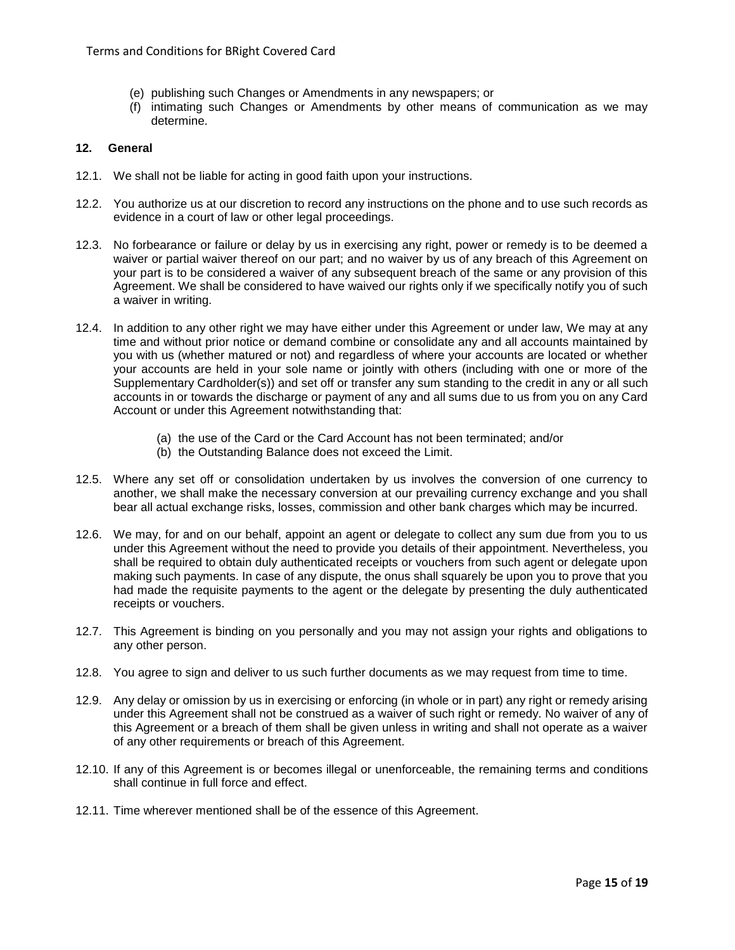- (e) publishing such Changes or Amendments in any newspapers; or
- (f) intimating such Changes or Amendments by other means of communication as we may determine.

# **12. General**

- 12.1. We shall not be liable for acting in good faith upon your instructions.
- 12.2. You authorize us at our discretion to record any instructions on the phone and to use such records as evidence in a court of law or other legal proceedings.
- 12.3. No forbearance or failure or delay by us in exercising any right, power or remedy is to be deemed a waiver or partial waiver thereof on our part; and no waiver by us of any breach of this Agreement on your part is to be considered a waiver of any subsequent breach of the same or any provision of this Agreement. We shall be considered to have waived our rights only if we specifically notify you of such a waiver in writing.
- 12.4. In addition to any other right we may have either under this Agreement or under law, We may at any time and without prior notice or demand combine or consolidate any and all accounts maintained by you with us (whether matured or not) and regardless of where your accounts are located or whether your accounts are held in your sole name or jointly with others (including with one or more of the Supplementary Cardholder(s)) and set off or transfer any sum standing to the credit in any or all such accounts in or towards the discharge or payment of any and all sums due to us from you on any Card Account or under this Agreement notwithstanding that:
	- (a) the use of the Card or the Card Account has not been terminated; and/or
	- (b) the Outstanding Balance does not exceed the Limit.
- 12.5. Where any set off or consolidation undertaken by us involves the conversion of one currency to another, we shall make the necessary conversion at our prevailing currency exchange and you shall bear all actual exchange risks, losses, commission and other bank charges which may be incurred.
- 12.6. We may, for and on our behalf, appoint an agent or delegate to collect any sum due from you to us under this Agreement without the need to provide you details of their appointment. Nevertheless, you shall be required to obtain duly authenticated receipts or vouchers from such agent or delegate upon making such payments. In case of any dispute, the onus shall squarely be upon you to prove that you had made the requisite payments to the agent or the delegate by presenting the duly authenticated receipts or vouchers.
- 12.7. This Agreement is binding on you personally and you may not assign your rights and obligations to any other person.
- 12.8. You agree to sign and deliver to us such further documents as we may request from time to time.
- 12.9. Any delay or omission by us in exercising or enforcing (in whole or in part) any right or remedy arising under this Agreement shall not be construed as a waiver of such right or remedy. No waiver of any of this Agreement or a breach of them shall be given unless in writing and shall not operate as a waiver of any other requirements or breach of this Agreement.
- 12.10. If any of this Agreement is or becomes illegal or unenforceable, the remaining terms and conditions shall continue in full force and effect.
- 12.11. Time wherever mentioned shall be of the essence of this Agreement.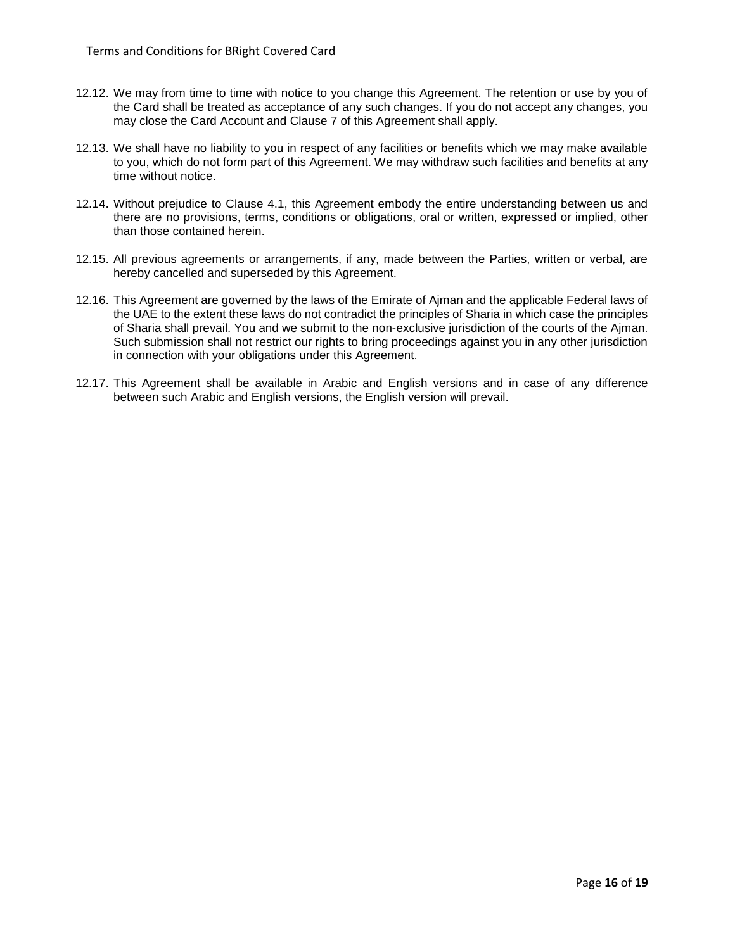- 12.12. We may from time to time with notice to you change this Agreement. The retention or use by you of the Card shall be treated as acceptance of any such changes. If you do not accept any changes, you may close the Card Account and Clause 7 of this Agreement shall apply.
- 12.13. We shall have no liability to you in respect of any facilities or benefits which we may make available to you, which do not form part of this Agreement. We may withdraw such facilities and benefits at any time without notice.
- 12.14. Without prejudice to Clause 4.1, this Agreement embody the entire understanding between us and there are no provisions, terms, conditions or obligations, oral or written, expressed or implied, other than those contained herein.
- 12.15. All previous agreements or arrangements, if any, made between the Parties, written or verbal, are hereby cancelled and superseded by this Agreement.
- 12.16. This Agreement are governed by the laws of the Emirate of Ajman and the applicable Federal laws of the UAE to the extent these laws do not contradict the principles of Sharia in which case the principles of Sharia shall prevail. You and we submit to the non-exclusive jurisdiction of the courts of the Ajman. Such submission shall not restrict our rights to bring proceedings against you in any other jurisdiction in connection with your obligations under this Agreement.
- 12.17. This Agreement shall be available in Arabic and English versions and in case of any difference between such Arabic and English versions, the English version will prevail.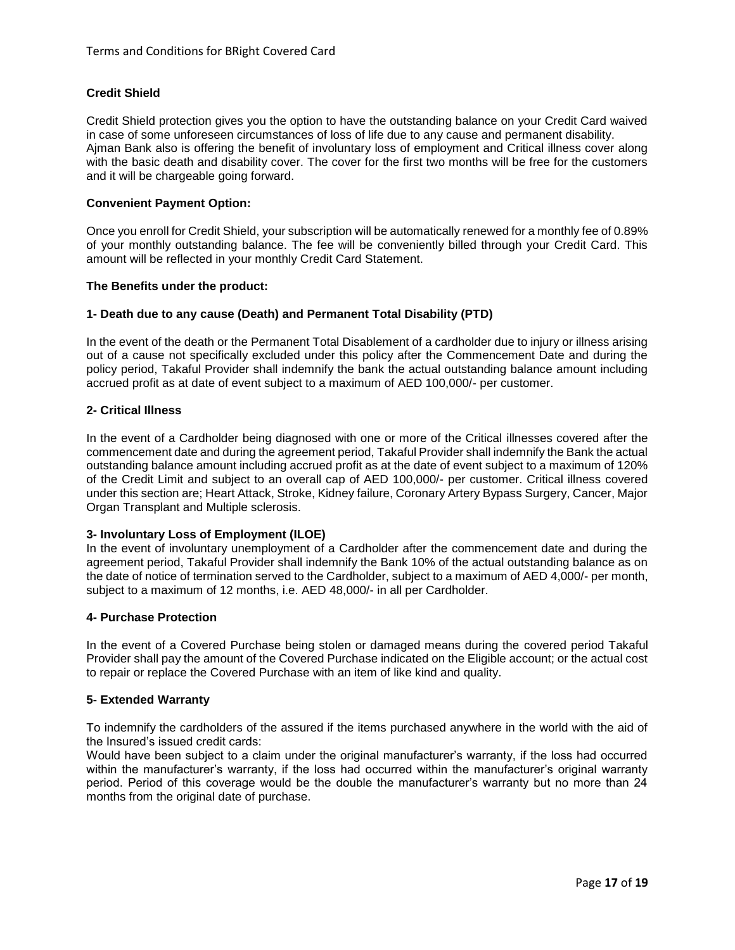# **Credit Shield**

Credit Shield protection gives you the option to have the outstanding balance on your Credit Card waived in case of some unforeseen circumstances of loss of life due to any cause and permanent disability. Ajman Bank also is offering the benefit of involuntary loss of employment and Critical illness cover along with the basic death and disability cover. The cover for the first two months will be free for the customers and it will be chargeable going forward.

### **Convenient Payment Option:**

Once you enroll for Credit Shield, your subscription will be automatically renewed for a monthly fee of 0.89% of your monthly outstanding balance. The fee will be conveniently billed through your Credit Card. This amount will be reflected in your monthly Credit Card Statement.

#### **The Benefits under the product:**

#### **1- Death due to any cause (Death) and Permanent Total Disability (PTD)**

In the event of the death or the Permanent Total Disablement of a cardholder due to injury or illness arising out of a cause not specifically excluded under this policy after the Commencement Date and during the policy period, Takaful Provider shall indemnify the bank the actual outstanding balance amount including accrued profit as at date of event subject to a maximum of AED 100,000/- per customer.

## **2- Critical Illness**

In the event of a Cardholder being diagnosed with one or more of the Critical illnesses covered after the commencement date and during the agreement period, Takaful Provider shall indemnify the Bank the actual outstanding balance amount including accrued profit as at the date of event subject to a maximum of 120% of the Credit Limit and subject to an overall cap of AED 100,000/- per customer. Critical illness covered under this section are; Heart Attack, Stroke, Kidney failure, Coronary Artery Bypass Surgery, Cancer, Major Organ Transplant and Multiple sclerosis.

## **3- Involuntary Loss of Employment (ILOE)**

In the event of involuntary unemployment of a Cardholder after the commencement date and during the agreement period, Takaful Provider shall indemnify the Bank 10% of the actual outstanding balance as on the date of notice of termination served to the Cardholder, subject to a maximum of AED 4,000/- per month, subject to a maximum of 12 months, i.e. AED 48,000/- in all per Cardholder.

#### **4- Purchase Protection**

In the event of a Covered Purchase being stolen or damaged means during the covered period Takaful Provider shall pay the amount of the Covered Purchase indicated on the Eligible account; or the actual cost to repair or replace the Covered Purchase with an item of like kind and quality.

#### **5- Extended Warranty**

To indemnify the cardholders of the assured if the items purchased anywhere in the world with the aid of the Insured's issued credit cards:

Would have been subject to a claim under the original manufacturer's warranty, if the loss had occurred within the manufacturer's warranty, if the loss had occurred within the manufacturer's original warranty period. Period of this coverage would be the double the manufacturer's warranty but no more than 24 months from the original date of purchase.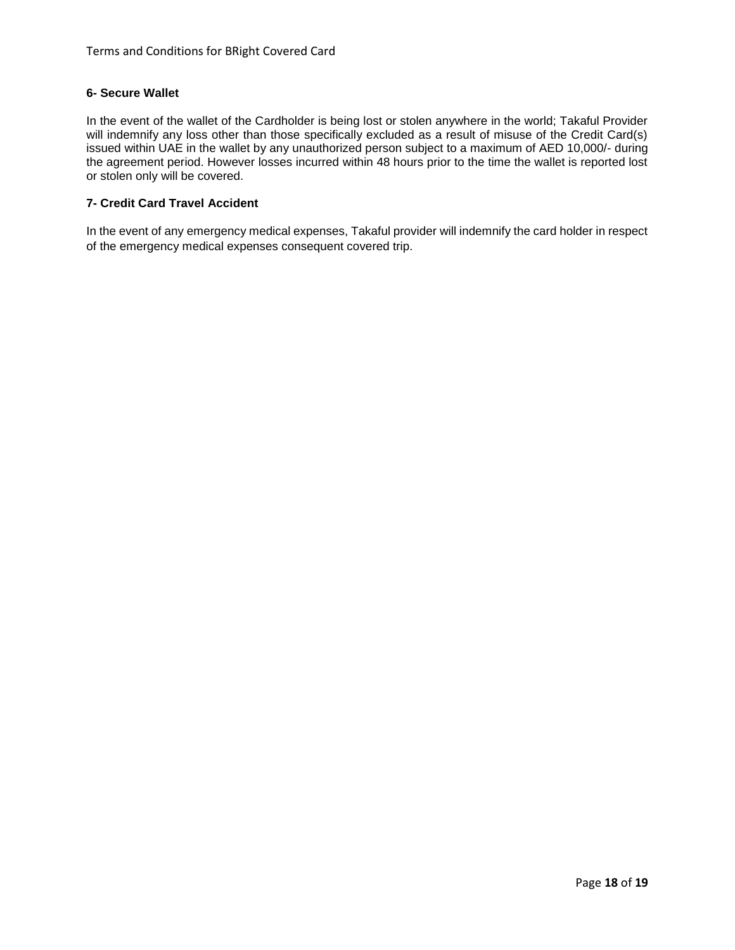## **6- Secure Wallet**

In the event of the wallet of the Cardholder is being lost or stolen anywhere in the world; Takaful Provider will indemnify any loss other than those specifically excluded as a result of misuse of the Credit Card(s) issued within UAE in the wallet by any unauthorized person subject to a maximum of AED 10,000/- during the agreement period. However losses incurred within 48 hours prior to the time the wallet is reported lost or stolen only will be covered.

# **7- Credit Card Travel Accident**

In the event of any emergency medical expenses, Takaful provider will indemnify the card holder in respect of the emergency medical expenses consequent covered trip.